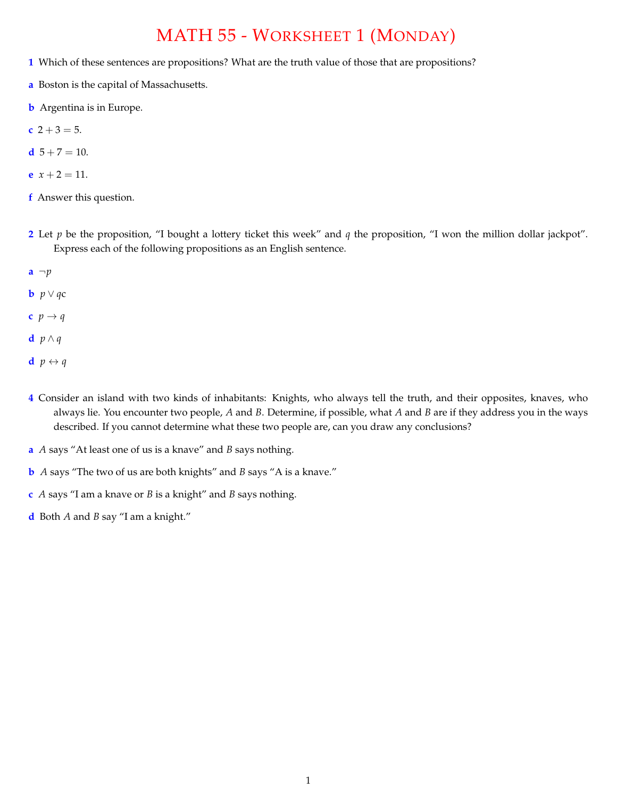## MATH 55 - WORKSHEET 1 (MONDAY)

- **1** Which of these sentences are propositions? What are the truth value of those that are propositions?
- **a** Boston is the capital of Massachusetts.
- **b** Argentina is in Europe.

$$
c \ 2+3=5.
$$

- **d**  $5 + 7 = 10$ .
- **e**  $x + 2 = 11$ .
- **f** Answer this question.
- **2** Let *p* be the proposition, "I bought a lottery ticket this week" and *q* the proposition, "I won the million dollar jackpot". Express each of the following propositions as an English sentence.
- **a** *¬p*
- **b**  $p \vee q$ **c**
- **c**  $p \rightarrow q$
- **d**  $p \wedge q$
- **d**  $p \leftrightarrow q$
- **4** Consider an island with two kinds of inhabitants: Knights, who always tell the truth, and their opposites, knaves, who always lie. You encounter two people, *A* and *B*. Determine, if possible, what *A* and *B* are if they address you in the ways described. If you cannot determine what these two people are, can you draw any conclusions?
- **a** *A* says "At least one of us is a knave" and *B* says nothing.
- **b** *A* says "The two of us are both knights" and *B* says "A is a knave."
- **c** *A* says "I am a knave or *B* is a knight" and *B* says nothing.
- **d** Both *A* and *B* say "I am a knight."